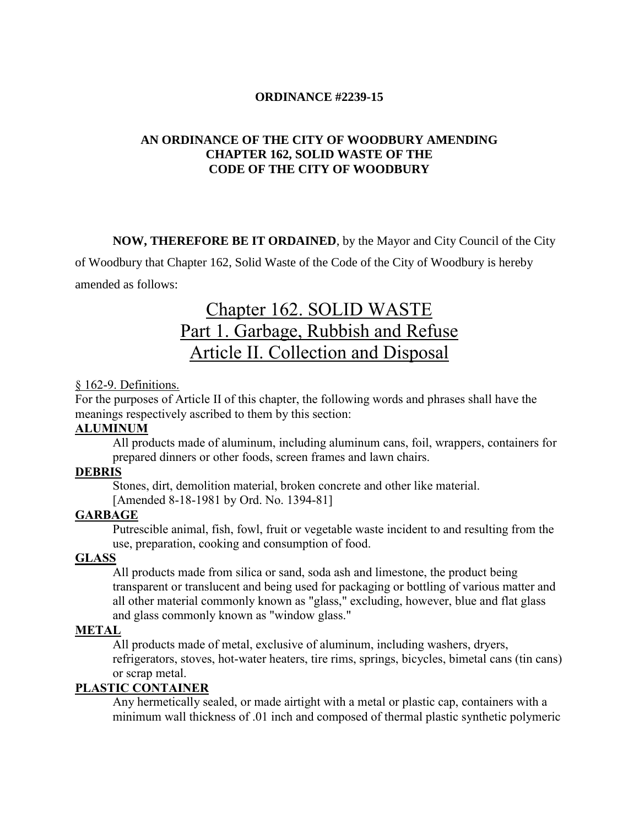#### **ORDINANCE #2239-15**

## **AN ORDINANCE OF THE CITY OF WOODBURY AMENDING CHAPTER 162, SOLID WASTE OF THE CODE OF THE CITY OF WOODBURY**

**NOW, THEREFORE BE IT ORDAINED**, by the Mayor and City Council of the City

of Woodbury that Chapter 162, Solid Waste of the Code of the City of Woodbury is hereby amended as follows:

# [Chapter 162. SOLID WASTE](http://ecode360.com/print/WO0578?guid=11414434,11414444,11414445,11414454,11414455,11414467,11414468#11414409)  [Part 1. Garbage, Rubbish and Refuse](http://ecode360.com/print/WO0578?guid=11414434,11414444,11414445,11414454,11414455,11414467,11414468#11414410)  [Article II. Collection and Disposal](http://ecode360.com/print/WO0578?guid=11414434,11414444,11414445,11414454,11414455,11414467,11414468#11414433)

#### § [162-9. Definitions.](http://ecode360.com/print/WO0578?guid=11414434,11414444,11414445,11414454,11414455,11414467,11414468#11414434)

For the purposes of Article II of this chapter, the following words and phrases shall have the meanings respectively ascribed to them by this section:

## **[ALUMINUM](http://ecode360.com/print/11414435#11414435)**

All products made of aluminum, including aluminum cans, foil, wrappers, containers for prepared dinners or other foods, screen frames and lawn chairs.

# **[DEBRIS](http://ecode360.com/print/11414436#11414436)**

Stones, dirt, demolition material, broken concrete and other like material.

[Amended 8-18-1981 by Ord. No. 1394-81]

## **[GARBAGE](http://ecode360.com/print/11414437#11414437)**

Putrescible animal, fish, fowl, fruit or vegetable waste incident to and resulting from the use, preparation, cooking and consumption of food.

#### **[GLASS](http://ecode360.com/print/11414438#11414438)**

All products made from silica or sand, soda ash and limestone, the product being transparent or translucent and being used for packaging or bottling of various matter and all other material commonly known as "glass," excluding, however, blue and flat glass and glass commonly known as "window glass."

#### **[METAL](http://ecode360.com/print/11414439#11414439)**

All products made of metal, exclusive of aluminum, including washers, dryers, refrigerators, stoves, hot-water heaters, tire rims, springs, bicycles, bimetal cans (tin cans) or scrap metal.

#### **[PLASTIC CONTAINER](http://ecode360.com/print/11414440#11414440)**

Any hermetically sealed, or made airtight with a metal or plastic cap, containers with a minimum wall thickness of .01 inch and composed of thermal plastic synthetic polymeric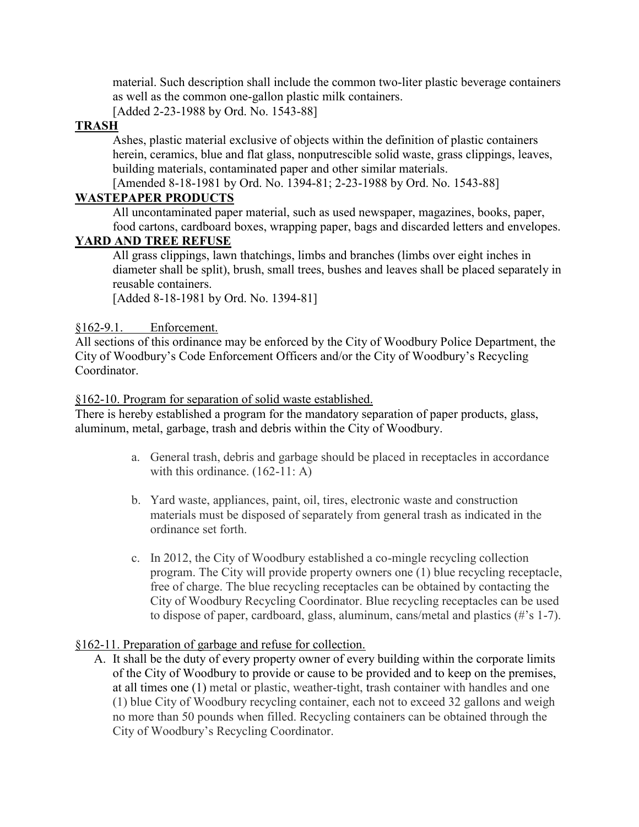material. Such description shall include the common two-liter plastic beverage containers as well as the common one-gallon plastic milk containers.

[Added 2-23-1988 by Ord. No. 1543-88]

# **[TRASH](http://ecode360.com/print/11414441#11414441)**

Ashes, plastic material exclusive of objects within the definition of plastic containers herein, ceramics, blue and flat glass, nonputrescible solid waste, grass clippings, leaves, building materials, contaminated paper and other similar materials.

[Amended 8-18-1981 by Ord. No. 1394-81; 2-23-1988 by Ord. No. 1543-88]

# **[WASTEPAPER PRODUCTS](http://ecode360.com/print/11414442#11414442)**

All uncontaminated paper material, such as used newspaper, magazines, books, paper, food cartons, cardboard boxes, wrapping paper, bags and discarded letters and envelopes.

# **[YARD AND TREE REFUSE](http://ecode360.com/print/11414443#11414443)**

All grass clippings, lawn thatchings, limbs and branches (limbs over eight inches in diameter shall be split), brush, small trees, bushes and leaves shall be placed separately in reusable containers.

[Added 8-18-1981 by Ord. No. 1394-81]

## §162-9.1. Enforcement.

All sections of this ordinance may be enforced by the City of Woodbury Police Department, the City of Woodbury's Code Enforcement Officers and/or the City of Woodbury's Recycling **Coordinator** 

[§162-10. Program for separation of solid waste established.](http://ecode360.com/print/WO0578?guid=11414434,11414444,11414445,11414454,11414455,11414467,11414468#11414444) 

There is hereby established a program for the mandatory separation of paper products, glass, aluminum, metal, garbage, trash and debris within the City of Woodbury.

- a. General trash, debris and garbage should be placed in receptacles in accordance with this ordinance. (162-11: A)
- b. Yard waste, appliances, paint, oil, tires, electronic waste and construction materials must be disposed of separately from general trash as indicated in the ordinance set forth.
- c. In 2012, the City of Woodbury established a co-mingle recycling collection program. The City will provide property owners one (1) blue recycling receptacle, free of charge. The blue recycling receptacles can be obtained by contacting the City of Woodbury Recycling Coordinator. Blue recycling receptacles can be used to dispose of paper, cardboard, glass, aluminum, cans/metal and plastics (#'s 1-7).

## [§162-11. Preparation of garbage and refuse for collection.](http://ecode360.com/print/WO0578?guid=11414434,11414444,11414445,11414454,11414455,11414467,11414468#11414445)

A. It shall be the duty of every property owner of every building within the corporate limits of the City of Woodbury to provide or cause to be provided and to keep on the premises, at all times one (1) metal or plastic, weather-tight, trash container with handles and one (1) blue City of Woodbury recycling container, each not to exceed 32 gallons and weigh no more than 50 pounds when filled. Recycling containers can be obtained through the City of Woodbury's Recycling Coordinator.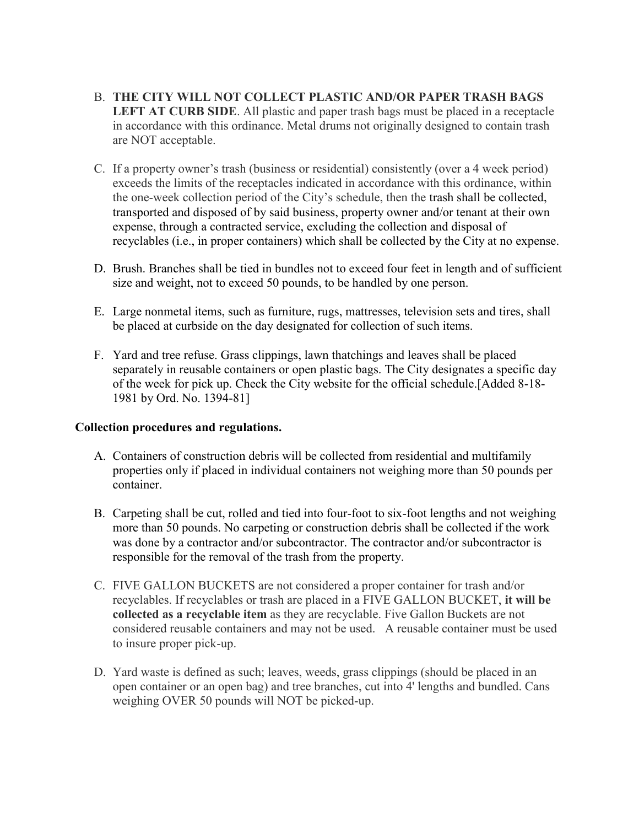- B. **THE CITY WILL NOT COLLECT PLASTIC AND/OR PAPER TRASH BAGS LEFT AT CURB SIDE**. All plastic and paper trash bags must be placed in a receptacle in accordance with this ordinance. Metal drums not originally designed to contain trash are NOT acceptable.
- C. If a property owner's trash (business or residential) consistently (over a 4 week period) exceeds the limits of the receptacles indicated in accordance with this ordinance, within the one-week collection period of the City's schedule, then the trash shall be collected, transported and disposed of by said business, property owner and/or tenant at their own expense, through a contracted service, excluding the collection and disposal of recyclables (i.e., in proper containers) which shall be collected by the City at no expense.
- D. Brush. Branches shall be tied in bundles not to exceed four feet in length and of sufficient size and weight, not to exceed 50 pounds, to be handled by one person.
- E. Large nonmetal items, such as furniture, rugs, mattresses, television sets and tires, shall be placed at curbside on the day designated for collection of such items.
- F. Yard and tree refuse. Grass clippings, lawn thatchings and leaves shall be placed separately in reusable containers or open plastic bags. The City designates a specific day of the week for pick up. Check the City website for the official schedule.[Added 8-18- 1981 by Ord. No. 1394-81]

## **Collection procedures and regulations.**

- A. Containers of construction debris will be collected from residential and multifamily properties only if placed in individual containers not weighing more than 50 pounds per container.
- B. Carpeting shall be cut, rolled and tied into four-foot to six-foot lengths and not weighing more than 50 pounds. No carpeting or construction debris shall be collected if the work was done by a contractor and/or subcontractor. The contractor and/or subcontractor is responsible for the removal of the trash from the property.
- C. FIVE GALLON BUCKETS are not considered a proper container for trash and/or recyclables. If recyclables or trash are placed in a FIVE GALLON BUCKET, **it will be collected as a recyclable item** as they are recyclable. Five Gallon Buckets are not considered reusable containers and may not be used. A reusable container must be used to insure proper pick-up.
- D. Yard waste is defined as such; leaves, weeds, grass clippings (should be placed in an open container or an open bag) and tree branches, cut into 4' lengths and bundled. Cans weighing OVER 50 pounds will NOT be picked-up.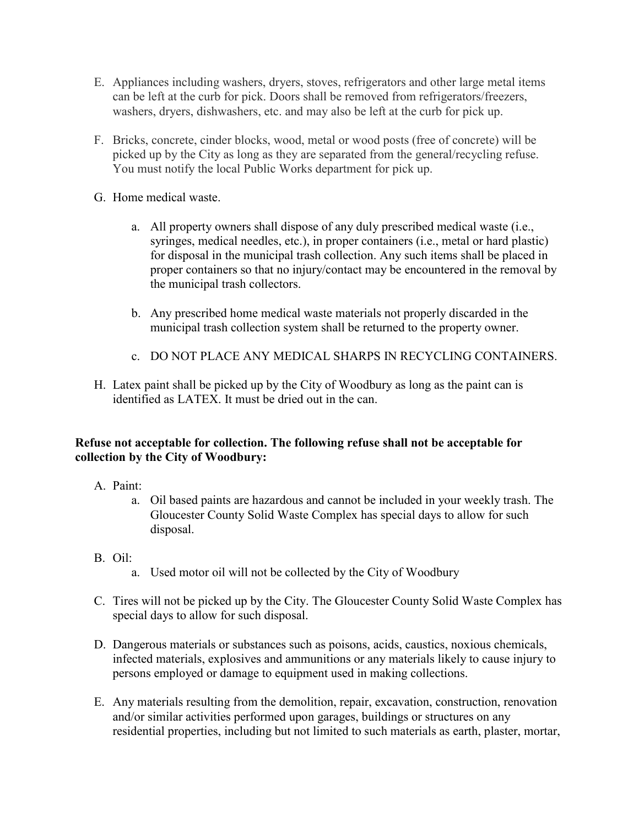- E. Appliances including washers, dryers, stoves, refrigerators and other large metal items can be left at the curb for pick. Doors shall be removed from refrigerators/freezers, washers, dryers, dishwashers, etc. and may also be left at the curb for pick up.
- F. Bricks, concrete, cinder blocks, wood, metal or wood posts (free of concrete) will be picked up by the City as long as they are separated from the general/recycling refuse. You must notify the local Public Works department for pick up.
- G. Home medical waste.
	- a. All property owners shall dispose of any duly prescribed medical waste (i.e., syringes, medical needles, etc.), in proper containers (i.e., metal or hard plastic) for disposal in the municipal trash collection. Any such items shall be placed in proper containers so that no injury/contact may be encountered in the removal by the municipal trash collectors.
	- b. Any prescribed home medical waste materials not properly discarded in the municipal trash collection system shall be returned to the property owner.
	- c. DO NOT PLACE ANY MEDICAL SHARPS IN RECYCLING CONTAINERS.
- H. Latex paint shall be picked up by the City of Woodbury as long as the paint can is identified as LATEX. It must be dried out in the can.

## **Refuse not acceptable for collection. The following refuse shall not be acceptable for collection by the City of Woodbury:**

- A. Paint:
	- a. Oil based paints are hazardous and cannot be included in your weekly trash. The Gloucester County Solid Waste Complex has special days to allow for such disposal.
- B. Oil:
	- a. Used motor oil will not be collected by the City of Woodbury
- C. Tires will not be picked up by the City. The Gloucester County Solid Waste Complex has special days to allow for such disposal.
- D. Dangerous materials or substances such as poisons, acids, caustics, noxious chemicals, infected materials, explosives and ammunitions or any materials likely to cause injury to persons employed or damage to equipment used in making collections.
- E. Any materials resulting from the demolition, repair, excavation, construction, renovation and/or similar activities performed upon garages, buildings or structures on any residential properties, including but not limited to such materials as earth, plaster, mortar,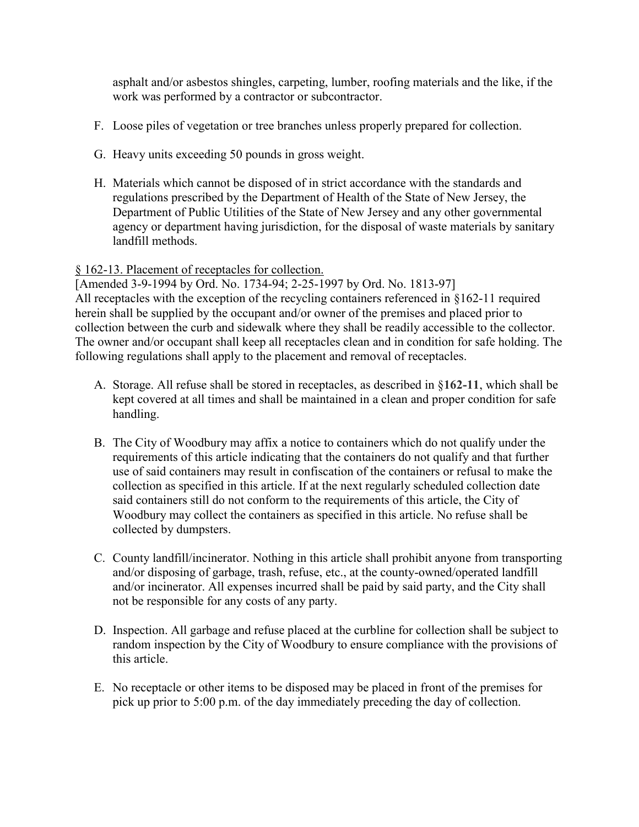asphalt and/or asbestos shingles, carpeting, lumber, roofing materials and the like, if the work was performed by a contractor or subcontractor.

- F. Loose piles of vegetation or tree branches unless properly prepared for collection.
- G. Heavy units exceeding 50 pounds in gross weight.
- H. Materials which cannot be disposed of in strict accordance with the standards and regulations prescribed by the Department of Health of the State of New Jersey, the Department of Public Utilities of the State of New Jersey and any other governmental agency or department having jurisdiction, for the disposal of waste materials by sanitary landfill methods.

## § [162-13. Placement of receptacles for collection.](http://ecode360.com/print/WO0578?guid=11414434,11414444,11414445,11414454,11414455,11414467,11414468#11414455)

[Amended 3-9-1994 by Ord. No. 1734-94; 2-25-1997 by Ord. No. 1813-97] All receptacles with the exception of the recycling containers referenced in §162-11 required herein shall be supplied by the occupant and/or owner of the premises and placed prior to collection between the curb and sidewalk where they shall be readily accessible to the collector. The owner and/or occupant shall keep all receptacles clean and in condition for safe holding. The following regulations shall apply to the placement and removal of receptacles.

- A. Storage. All refuse shall be stored in receptacles, as described in §**162-11**, which shall be kept covered at all times and shall be maintained in a clean and proper condition for safe handling.
- B. The City of Woodbury may affix a notice to containers which do not qualify under the requirements of this article indicating that the containers do not qualify and that further use of said containers may result in confiscation of the containers or refusal to make the collection as specified in this article. If at the next regularly scheduled collection date said containers still do not conform to the requirements of this article, the City of Woodbury may collect the containers as specified in this article. No refuse shall be collected by dumpsters.
- C. County landfill/incinerator. Nothing in this article shall prohibit anyone from transporting and/or disposing of garbage, trash, refuse, etc., at the county-owned/operated landfill and/or incinerator. All expenses incurred shall be paid by said party, and the City shall not be responsible for any costs of any party.
- D. Inspection. All garbage and refuse placed at the curbline for collection shall be subject to random inspection by the City of Woodbury to ensure compliance with the provisions of this article.
- E. No receptacle or other items to be disposed may be placed in front of the premises for pick up prior to 5:00 p.m. of the day immediately preceding the day of collection.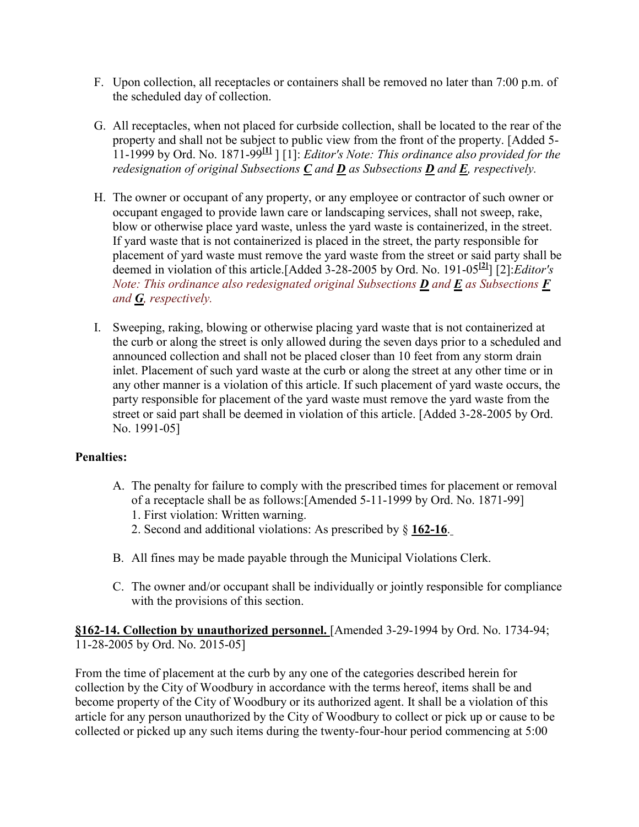- F. Upon collection, all receptacles or containers shall be removed no later than 7:00 p.m. of the scheduled day of collection.
- G. All receptacles, when not placed for curbside collection, shall be located to the rear of the property and shall not be subject to public view from the front of the property. [Added 5- 11-1999 by Ord. No. 1871-99**[\[1\]](http://ecode360.com/print/WO0578?guid=11414434,11414444,11414445,11414454,11414455,11414467,11414468#ft11414458-1)** ] [1]: *Editor's Note: This ordinance also provided for the redesignation of original Subsections [C](http://ecode360.com/print/11414458#11414458) and [D](http://ecode360.com/print/11414459#11414459) as Subsections [D](http://ecode360.com/print/11414459#11414459) and [E](http://ecode360.com/print/11414460#11414460), respectively.*
- H. The owner or occupant of any property, or any employee or contractor of such owner or occupant engaged to provide lawn care or landscaping services, shall not sweep, rake, blow or otherwise place yard waste, unless the yard waste is containerized, in the street. If yard waste that is not containerized is placed in the street, the party responsible for placement of yard waste must remove the yard waste from the street or said party shall be deemed in violation of this article.[Added 3-28-2005 by Ord. No. 191-05**[\[2\]](http://ecode360.com/print/WO0578?guid=11414434,11414444,11414445,11414454,11414455,11414467,11414468#ft11414459-2)**] [2]:*Editor's Note: This ordinance also redesignated original Subsections [D](http://ecode360.com/print/11414459#11414459) and [E](http://ecode360.com/print/11414460#11414460) as Subsections [F](http://ecode360.com/print/11414461#11414461) and [G](http://ecode360.com/print/11414466#11414466), respectively.*
- I. Sweeping, raking, blowing or otherwise placing yard waste that is not containerized at the curb or along the street is only allowed during the seven days prior to a scheduled and announced collection and shall not be placed closer than 10 feet from any storm drain inlet. Placement of such yard waste at the curb or along the street at any other time or in any other manner is a violation of this article. If such placement of yard waste occurs, the party responsible for placement of the yard waste must remove the yard waste from the street or said part shall be deemed in violation of this article. [Added 3-28-2005 by Ord. No. 1991-05]

## **Penalties:**

- A. The penalty for failure to comply with the prescribed times for placement or removal of a receptacle shall be as follows:[Amended 5-11-1999 by Ord. No. 1871-99]
	- 1. First violation: Written warning.
	- 2. Second and additional violations: As prescribed by § **[162-16](http://ecode360.com/print/11414473#11414473)**.
- B. All fines may be made payable through the Municipal Violations Clerk.
- C. The owner and/or occupant shall be individually or jointly responsible for compliance with the provisions of this section.

**[§162-14. Collection by unauthorized personnel.](http://ecode360.com/print/WO0578?guid=11414434,11414444,11414445,11414454,11414455,11414467,11414468#11414467)** [Amended 3-29-1994 by Ord. No. 1734-94; 11-28-2005 by Ord. No. 2015-05]

From the time of placement at the curb by any one of the categories described herein for collection by the City of Woodbury in accordance with the terms hereof, items shall be and become property of the City of Woodbury or its authorized agent. It shall be a violation of this article for any person unauthorized by the City of Woodbury to collect or pick up or cause to be collected or picked up any such items during the twenty-four-hour period commencing at 5:00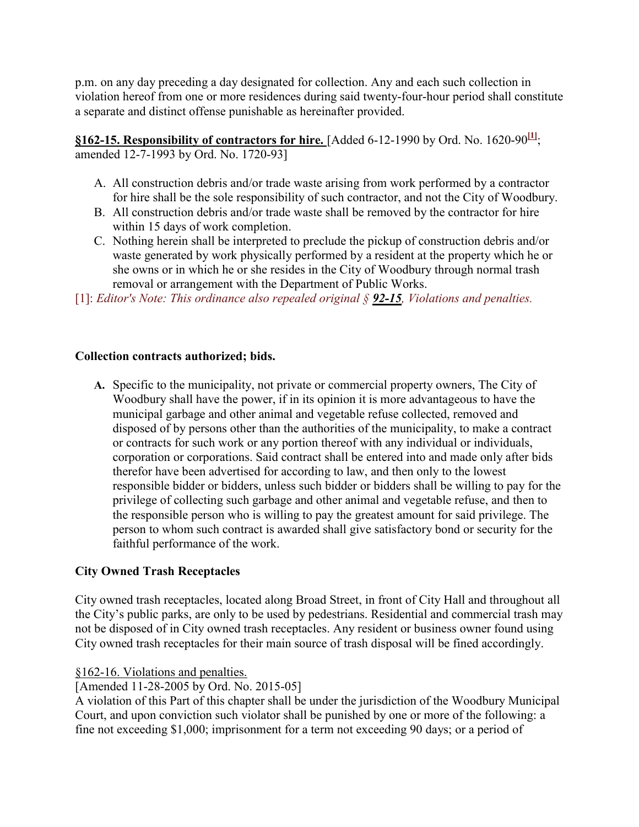p.m. on any day preceding a day designated for collection. Any and each such collection in violation hereof from one or more residences during said twenty-four-hour period shall constitute a separate and distinct offense punishable as hereinafter provided.

**§162-15. Responsibility of contractors for hire.** [Added 6-12-1990 by Ord. No. 1620-90 $\frac{11}{1}$ ; amended 12-7-1993 by Ord. No. 1720-93]

- A. All construction debris and/or trade waste arising from work performed by a contractor for hire shall be the sole responsibility of such contractor, and not the City of Woodbury.
- B. All construction debris and/or trade waste shall be removed by the contractor for hire within 15 days of work completion.
- C. Nothing herein shall be interpreted to preclude the pickup of construction debris and/or waste generated by work physically performed by a resident at the property which he or she owns or in which he or she resides in the City of Woodbury through normal trash removal or arrangement with the Department of Public Works.

[1]: *Editor's Note: This ordinance also repealed original § [92-15](http://ecode360.com/print/11413564#11413564), Violations and penalties.*

# **Collection contracts authorized; bids.**

**A.** Specific to the municipality, not private or commercial property owners, The City of Woodbury shall have the power, if in its opinion it is more advantageous to have the municipal garbage and other animal and vegetable refuse collected, removed and disposed of by persons other than the authorities of the municipality, to make a contract or contracts for such work or any portion thereof with any individual or individuals, corporation or corporations. Said contract shall be entered into and made only after bids therefor have been advertised for according to law, and then only to the lowest responsible bidder or bidders, unless such bidder or bidders shall be willing to pay for the privilege of collecting such garbage and other animal and vegetable refuse, and then to the responsible person who is willing to pay the greatest amount for said privilege. The person to whom such contract is awarded shall give satisfactory bond or security for the faithful performance of the work.

# **City Owned Trash Receptacles**

City owned trash receptacles, located along Broad Street, in front of City Hall and throughout all the City's public parks, are only to be used by pedestrians. Residential and commercial trash may not be disposed of in City owned trash receptacles. Any resident or business owner found using City owned trash receptacles for their main source of trash disposal will be fined accordingly.

## [§162-16. Violations and penalties.](http://ecode360.com/print/WO0578?guid=11414473#11414473)

[Amended 11-28-2005 by Ord. No. 2015-05]

A violation of this Part of this chapter shall be under the jurisdiction of the Woodbury Municipal Court, and upon conviction such violator shall be punished by one or more of the following: a fine not exceeding \$1,000; imprisonment for a term not exceeding 90 days; or a period of